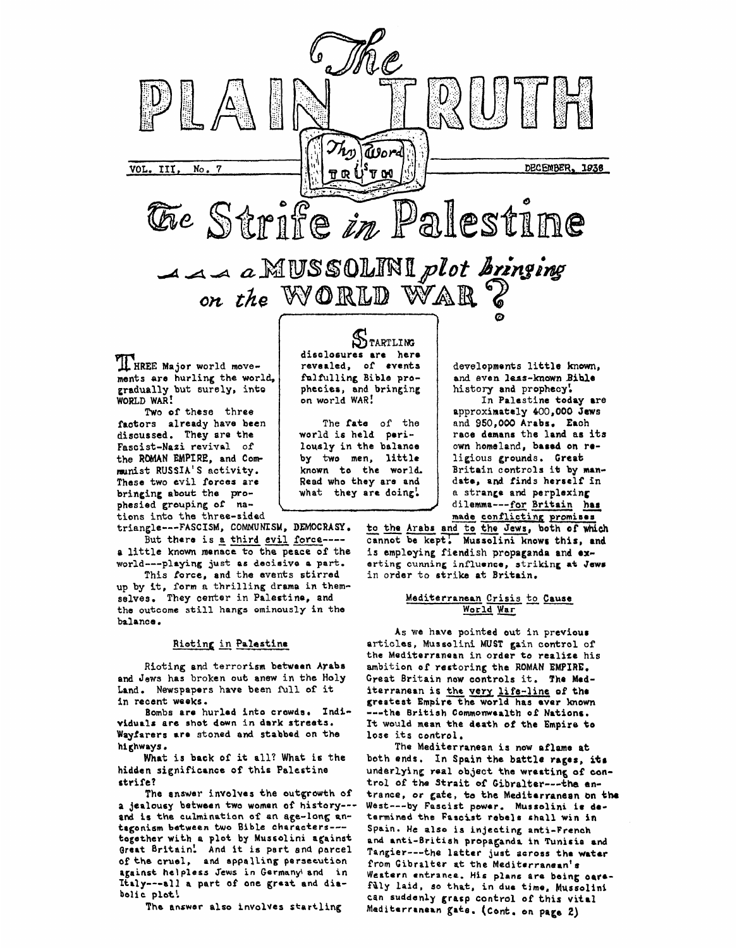

**Fascist-Nazi revivnl of the RDMAN EMPIRE, and Communist RUSSIA'S activity. These two evil forces arc bringing about the pro-** what they are doing! **tions** ~~~ **into the three-sided** 

**triangle---FASCISM, COMMUNISM, DEMOCRASY.** 

**But there is** *8* **third evil force--- a little known menace to the peace of the world---playing just as decisive a part.** 

**up by it, form a thrilling drama in themselves. They center in Palestine, and tho outcome still hangs ominously in the balance** . **This force, and the events stirred** 

### **Rioting** in **Palestine**

**Rioting and terrorism between Arabs and Jews has broken out anew in the Holy Land. Newspapers have been** full **of it in recent weeks.** 

Bombs are hurled into crowds. Indi**vlduilr are shot down in dark streets. Wayfarers are stoned and stabbed on the highways.** 

**hidds n** *si* **gni fi came of this Pale rt 1 ne strife? What is back of it all? What** *is* **the** 

**The answer involves the outgrowth of a jealousy between two woman ot history-- and is the culmination of an age-long antrganism between two Bible characters-- together with a plat by Mussolini against Orart Britain! And it is pert end parcel of the cruel, and appalling persecution against helpless Jews in Germany\ and in Italy---sll a part of one great and diabolic plot!** 

**The answer also involves startling** 

**lously in the balance by two men, little known to the world. Read who they are and what they are doing!** 

**own homeland, barad on roligious grounds** . **Great**  Britain controls it by man**dab, and finds herself In**  a **strange and perplexing**  dilemma---for **Britain** has 1, little ligious grounds. Great<br>the world. Britain controls it by man-<br>y are and date, and finds herself in<br>the dilemma---for Britain has<br>made conflicting promises<br>to the Arabs and to the Jews, both of which<br>contributed b

**cannot be kepr Mussalini knowr this, and**  to the Aral<br>cannot be 1 **is employing fiendish propaganda and exerting cunning influence, striking at Jwr in order to strike at Britain.** 

## **Mediterranean Crisis to Cause World**

**AS we have pointed out in previour articlss, Mussolini MUST gain control of the Mediterranean in order to realize his ambition of restoring the ROMAN EMPIRE. Great Britain now controls it. Tho Miditerranaan is the very.life-linc of thr greatest Empire the world has aver known ---the British Commonwealth of Nations. It would mean the dsath of the Empire to lose its centrol.** 

**The Mediterranean is now aflame at**  both ends. In Spain the battle rages, its **underlying real object the wrestin6 of eontrol of** *the* **Strait of Gibraltar---\*ha antrance,** *or* **gate, te the Mediterranean en the**  West---by Fascist power. Mussolini is de**tarmined the Faacist rebels shall win in Spain. He also is injecting anti-French and anti-6ritish propaganda in Tunisia and Tangier---the latter just across tho wrtrr from Cibtalter at the Meditarranaan's Western entrance. His plans ara being oar. faly laid, so that, in dur time, Mussolint can suddenly grasp control of this vital Mediterrrnern gate. (Cant. on page 2)**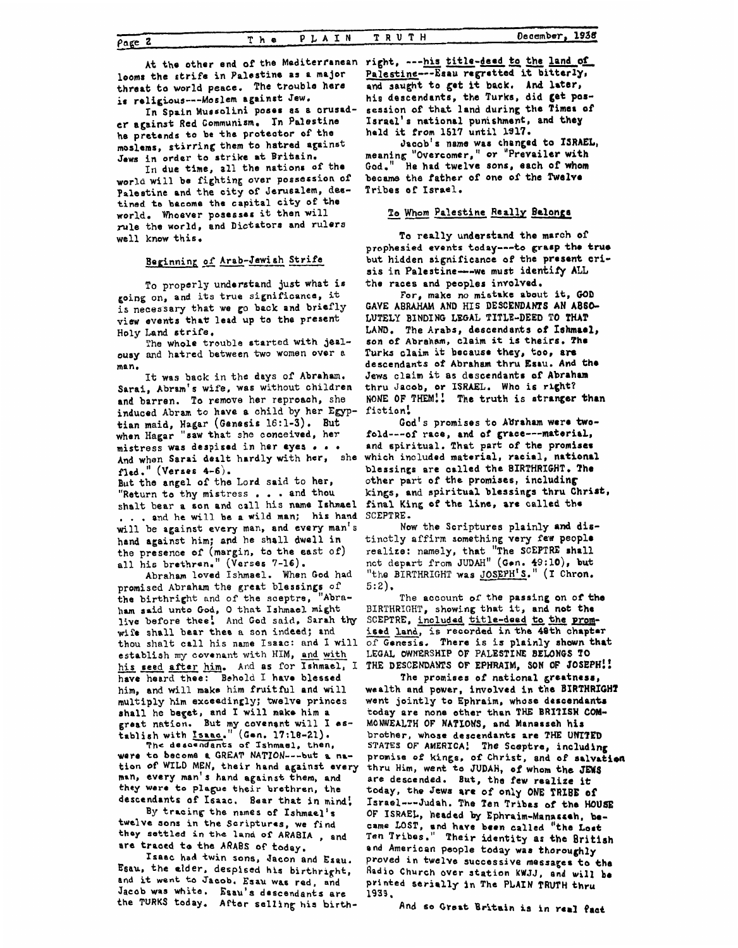Page 2

looms the strife in Palestine as a major threat to world peace. The trouble here is religious---Moslem against Jew.

In Spain Mussolini poses as a crusader against Red Communism. In Palestine he pretends to be the protector of the moslems, stirring them to hatred against Jews in order to strike at Britain.

In due time, all the nations of the world will be fighting over possession of Palestine and the city of Jerusalem, destined to bacome the capital city of the world. Whoever posesses it then will rule the world, and Dictators and rulers well know this.

# Beginning of Arab-Jewish Strife

To properly understand just what is going on, and its true significance, it is necessary that we go back and briefly view events that lead up to the present Holy Land strife.

The whole trouble started with jealousy and hatred between two women over a man.

It was back in the days of Abraham. Sarai, Abram's wife, was without children and barren. To remove her reproach, she induced Abram to have a child by her Egyptian maid, Hagar (Genesis 16:1-3). But<br>when Hagar "saw that she conceived, her mistress was despised in her eyes . . . And when Sarai dealt hardly with her, she fled." (Verses 4-6).

But the angel of the Lord said to her. "Return to thy mistress... and thou shalt bear a son and call his name Ishmael .. and he will be a wild man; his hand will be against every man, and every man's hand against him; and he shall dwell in the presence of (margin, to the east of) all his brethren." (Verses 7-16).

Abraham loved Ishmael. When God had promised Abraham the great blessings of the birthright and of the sceptre, "Abraham said unto God, O that Ishmael might live before thee! And God said, Sarah thy wife shall bear thee a son indeed; and thou shalt call his name Isaac: and I will establish my covenant with HIM, and with his seed after him. And as for Ishmael, I THE DESCENDANTS OF EPHRAIM, SON OF JOSEPH!! have heard thee: Behold I have blessed him, and will make him fruitful and will multiply him exceedingly; twelve princes shall he beget, and I will make him a great nation. But my covenant will I establish with Isaac." sh with *Isaac*." (Gen. 17:18-21).<br>The descendants of Ishmael, then,

were to become a GREAT NATION---- but a nation of WILD MEN, their hand against every man, every man's hand against them, and they were to plague their brethren, the descendants of Isaac. Bear that in mind!

By tracing the names of Ishmael's twelve sons in the Scriptures, we find they settled in the land of ARABIA, and are traced to the ARABS of today.

Isaac had twin sons, Jacon and Esau. Esau, the elder, despised his birthright, and it went to Jacob. Esau was red, and Jacob was white. Esau's descendants are the TURKS today. After selling his birth-

At the other end of the Mediterranean right, --- his title-deed to the land of Palestine---Esau regratted it bitterly, and saught to get it back. And later, his descendants, the Turks, did get possession of that land during the Times of Israel's national punishment, and they held it from 1517 until 1917.

Jacob's name was changed to ISRAEL, meaning "Overcomer," or "Prevailer with God." He had twelve sons, each of whom became the father of one of the Twelve Tribes of Israel.

## To Whom Palestine Really Belongs

To really understand the march of prophesied events today---to grasp the true but hidden significance of the present crisis in Palestine---we must identify ALL the races and peoples involved.

For, make no mistake about it, GOD GAVE ABRAHAM AND HIS DESCENDANTS AN ABSO-LUTELY BINDING LEGAL TITLE-DEED TO THAT LAND. The Arabs, descendants of Ishmael, son of Abraham, claim it is theirs. The Turks claim it because they, too, are descendants of Abraham thru Esau. And the Jews claim it as descendants of Abraham thru Jacob, or ISRAEL. Who is right?<br>NONE OF THEM!! The truth is stranger than fiction!

God's promises to Abraham were twofold---of race, and of grace---material, and spiritual. That part of the promises which included material, racial, national blessings are called the BIRTHRIGHT. The other part of the promises, including kings, and spiritual blessings thru Christ, final King of the line, are called the SCEPTRE.

Now the Scriptures plainly and distinctly affirm something very few people realize: namely, that "The SCEPTRE shall not depart from JUDAH" (Gen. 49:10), but "the BIRTHRIGHT was JOSEPH'S." (I Chron.  $5:2$ .

The account of the passing on of the BIRTHRIGHT, showing that it, and not the SCEPTRE, included title-deed to the promised land, is recorded in the 48th chapter of Genesis. There is is plainly shown that LEGAL OWNERSHIP OF PALESTINE BELONGS TO

The promises of national greatness, wealth and power, involved in the BIRTHRIGHT went jointly to Ephraim, whose descendants today are none other than THE BRITISH COM-MONWEALTH OF NATIONS, and Manasseh his brother, whose descendants are THE UNITED STATES OF AMERICA! The Sceptre, including promise of kings, of Christ, and of salvation thru Him, went to JUDAH, of whom the JEWS are descended. But, the few realize it today, the Jews are of only ONE TRIBE of Israel---Judah. The Ten Tribas of the HOUSE OF ISRAEL, headed by Ephraim-Manasseh, became LOST, and have been called "the Lost Ten Tribes." Their identity as the British and American people today was thoroughly proved in twelve successive messages to the Radio Church over station KWJJ, and will be printed serially in The PLAIN TRUTH thru 1939,

And so Great Britain is in real fact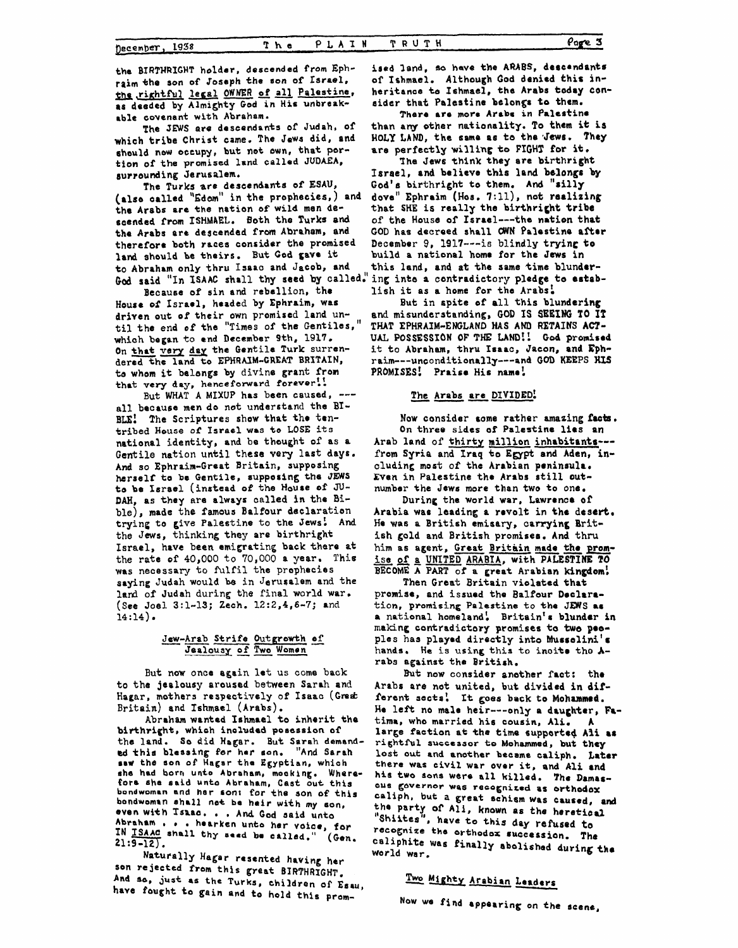the BIRTHRIGHT holder, descended from Ephraim the son of Joseph the son of Israel, the rightful legal OWNER of all Palestine, as deeded by Almighty God in His unbreakable covenant with Abraham.

The JEWS are descendants of Judah, of which tribe Christ came. The Jews did, and should now occupy, but not own, that portion of the promised land called JUDAEA, surrounding Jerusalem.

The Turks are descendants of ESAU, (also called "Edom" in the prophecies,) and the Arabs are the nation of wild men descended from ISHMAEL. Both the Turks and the Arabs are descended from Abraham, and therefore both races consider the promised land should be theirs. But God gave it to Abraham only thru Isaac and Jacob, and God said "In ISAAC shall thy seed by called." ing into a contradictory pledge to estab-

Because of sin and rebellion, the House of Israel, headed by Ephraim, was driven out of their own promised land until the end of the "Times of the Gentiles," which began to end December 9th, 1917. On that very day the Gentile Turk surrendered the land to EPHRAIM-GREAT BRITAIN, to whom it belongs by divine grant from that very day, henceforward forever!!

But WHAT A MIXUP has been caused, --all because men do not understand the BI-BLE! The Scriptures show that the tentribed House of Israel was to LOSE its national identity, and be thought of as a Gentile nation until these very last days. And so Ephraim-Great Britain, supposing herself to be Gentile, supposing the JEWS to be Israel (instead of the House of JU-DAH, as they are always called in the Bible), made the famous Balfour declaration trying to give Palestine to the Jews! And the Jews, thinking they are birthright Israel, have been emigrating back there at the rate of 40,000 to 70,000 a year. This was necessary to fulfil the prephecies saying Judah would be in Jerusalem and the land of Judah during the final world war. (See Joel 3:1-13; Zech. 12:2,4,6-7; and  $14:14$ ).

# Jew-Arab Strife Outgrowth of Jealousy of Two Women

But now once again let us come back to the jealousy aroused between Sarah and Hagar, mothers respectively of Isaac (Great Britain) and Ishmael (Arabs).

Abraham wanted Ishmael to inherit the birthright, which included possssion of the land. So did Hagar. But Sarah demand-<br>ed this blessing for her son. "And Sarah saw the son of Hagar the Egyptian, which she had born unto Abraham, mocking. Wherefore she said unto Abraham, Cast out this bondwoman and her son: for the son of this bondwoman shall not be heir with my son, even with Isaac. . . And God said unto Abraham . . . hearken unto her voice, for IN ISAAC shall thy seed be called." (Gen.  $21:9-12$ .

Naturally Hagar resented having her son rejected from this great BIRTHRIGHT. And so, just as the Turks, children of Esau, have fought to gain and to hold this promised land, so have the ARABS, descendants of Ishmael. Although God denied this inheritance to Ishmael, the Arabs today consider that Palestine belongs to them.

There are more Arabs in Palestine than any other nationality. To them it is HOLY LAND, the same as to the Jews. They are perfectly willing to FIGHT for it.

The Jews think they are birthright Israel, and believe this land belongs by God's birthright to them. And "silly dove" Ephraim (Hos. 7:11), not realizing that SHE is really the birthright tribe of the House of Israel---the nation that GOD has decreed shall OWN Palestine after December 9, 1917 --- is blindly trying to build a national home for the Jews in this land, and at the same time blunderlish it as a home for the Arabs.

But in spite of all this blundering and misunderstanding, GOD IS SEEING TO IT THAT EPHRAIM-ENGLAND HAS AND RETAINS ACT-UAL POSSESSION OF THE LAND!! God promised it to Abraham, thru Isaac, Jacon, and Ephraim---unconditionally---and GOD KEEPS HIS PROMISES! Praise His name!

# The Arabs are DIVIDED!

Now consider some rather amazing facts. On three sides of Palestine lies an Arab land of thirty million inhabitants--from Syria and Iraq to Egypt and Aden, including most of the Arabian peninsula. Even in Palestine the Arabs still outnumber the Jews more than two to one.

During the world war, Lawrence of Arabia was leading a revolt in the desert. He was a British emisary, carrying British gold and British promises. And thru him as agent, Great Britain made the promise of a UNITED ARABIA, with PALESTINE TO BECOME A PART of a great Arabian kingdom!

Then Great Britain violated that promise, and issued the Balfour Declaration, promising Palestine to the JEWS as a national homeland, Britain's blunder in making contradictory promises to two peoples has played directly into Musselini's hands. He is using this to incite the Arabs against the British.

But now consider another fact: the Arabs are not united, but divided in different sects! It goes back to Mohammed. He left no male heir---only a daughter, Fatima, who married his cousin, Ali.  $\mathbf{A}$ large faction at the time supported Ali as rightful successor to Mohammed, but they lost out and another became caliph. Later there was civil war over it, and Ali and his two sons were all killed. The Damascus governor was recognized as orthodox caliph, but a great schism was caused, and the party of All, known as the heretical<br>"Shiites", have to this day refused to recognize the orthodox succession. The caliphite was finally abolished during the world war.

# Two Mighty Arabian Leaders

Now we find appearing on the scene,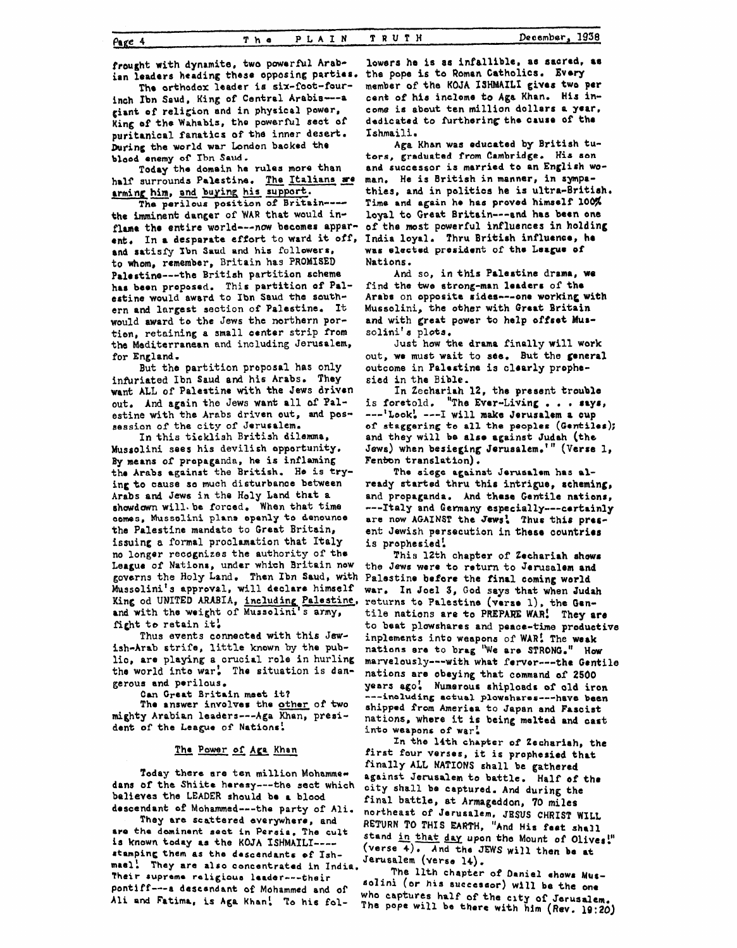**frought with dynamite, two powerful Arabton leaders heading these opposing** partias.

inch Ibn Saud, King of Central Arabia---a **giant of religion and in** physical power, **King** of **the** Wahabis, tho **powsrfhl seat of**  puritanical fanatics **ofthe** inner **desert. During the** world **war London backed the**  The orthodox leader is six-foot-four-

**bload enemy of' Ibn Saud. half** surrounds **Palestine. Today** the **domein** ha **rules more than** The Italians **ze arming him, and buying his support.** 

**The werilous position of Britain--**  the imminent danger of WAR that would in**flune the entire** warld---now becomes **apparent,** In **a dcsporate effort** to **ward it off, and srtisf'y Sbn Saud and his followers,**  to **whom,** remember, Britain **has PROMISED**  Palestine---the British **partition schema has been propasod. This partition of Polertine would award** to **Ibn** Saud **the south**ern **and largest** section **of Palestine,** It **would** award **to the Jews the northern** partian, retaining **a** small oenter strip **from the** Mediterranean **and** including Jerusalem, for England.

**infuriated Ibn Saud and his** Arabs. **They**  want; ALL **of Palestine** with **the Jews driven**  out. **And again** the Jews want **all** of **Palestine** with **the** Arabs driven out, **and possession** of the **city** of Jeru6alem. But the partition **proposal** has **only** 

**In** this ticklish British **dilemma,**  Mussolini **sees his devilish** apportunity, **By means** of propaganda, **he is inflaming**  the **Arabs igalnat the British. He is try**ing to cause so much disturbance between Arabs **and Jews** in the **Holy Land that a 6hawdawn will\* ba** forced. **When that** time **aomes, Mussolini phnn apenly to denounce the** Palestine mandate to Great Britain, **issuing a formal** proclamation that **Italy no** longer recognizes the authority of **tha**  League of **Nations,** under **which** Britain **now**  governs the Holy **Land. Than Ibn Saud,** with Palestine before **the final coming warld**  Mussolini' **s** approval, will **declare** himself **King** od **UNITED ARABIA, including Paleatine, and** with **the weight** of **Mussolini's army, fight** to retain **it:** 

**Thus events connected** with **this** Jew**iah-Arab** strife, little **known by** the publio, are **playing a** crucial role in hurling the **world** into **war! The situation is** dangerous **and perilous.** 

**Can** Great **Britain met** *it?* 

**The aniwer involves** the **other** of **two mighty Arabian leaders--4ga** Khan, **president of the League of Nations!** 

#### The Power of Age Khan

Today there are ten million Mohamme**dons of** the Shiite **haresy---the** *sect* **which believes the LEADER** should **be a blood**  descendant **of Mohammed---the** party **of Ali.** 

**They ara** scattered **everywhere, and**  are the dominent sect in Persia. The cult is known today as the **KOJA** ISHMAILI---**atomping** them **as the dascendantr of Ish** mael! They are also concentrated in India. Their supreme religious leader----their pontiff---a descendant of Mohammed and of Ali and Fatima, is Aga Khan! To his fol-

**lowers ha** *is* **as infallible, a8 sacred,** *86*  **ths pope is to Roman Catholics. Evaq member of the KOJA 1SHMAILT gives two** per cent **of his** inclome **to Aga** Khan. **His income** is **about ten** million dollars **a year, dedicated** to **furtharing** the **Cau8e** of **tho Ishmaili.** 

**tors, graduated frdm Cambridge. His sen and successor is** married **to an Englioh woman. He is** British in **manner,** in sympothies, and in politics he is ultra-British. **Time and again he ha6 proved himself loo\$**  loyal to **Great Britain---and has been one**  of **the** *most* powerful influences **in holding**  India **loyal. Thru British influence, ha wa~ elected presidmt of the League of**  Nations. **Aga Khan was educated by British tu-**

**find the two** strong-man **lerders** of **the Arabs** on **opposita rides---one working with**  Mussolini, the **other** with **Great Britain**  and with **great** power to help **offsat Mur**solini' **s plots. And so, in** this **Palestine** drama, **we** 

out, **we must** wait to **see.** But **the** general outcome in **Palortine is claarly** prophe**sied** in the Bible. **Just how the** drama **finally** will **work** 

In Zechariah 12, the present trouble<br>is foretold. "The Ever-Living . . . says, **---'Look! ---I will make** Jerusalem **a** cup **of staggering to all the peoples (Gentilar);**  and they **will be also against** Judah **(the Jews) when besieging Jerusalem.'" (Verse** 1, **Fenbn translation)** . **The aiegs against Jeruarlwn has al-**In **Zechariah 12,** the present **trouble** 

 $\frac{1}{2}$  ready started thru this intrigue, scheming, **and** propaganda. **And** these **Gentile nations, ---Italy** and **Germany especially---certainly**  are now AGAINST the Jews'. Thus this pres**ent Jewish persecution** in **these countries**  is prophesied!

This 12th chapter of Zechariah shows the **Jews were to** return to **Jemsalem and**  war. **In Joel 3, God says that when Judah returns** to Palestine **(verse l), the Gen**tile **nations** are **to PREPARE WAR! They are**  to **beat plowshares and** peace-the productive **inplementa** into weapons of **WAR! The weak natians** are to **brag "We** are **STRONG." How**  marvelously---with **what femor---the** Gentile **nations are** obeying that command **of 2500 years ago! Numerous** shipload6 **of** old **iron ---inoluding actual plowsharof---haVa been ahipped from** Amerira to Japan **and Fasciit**  nations, **where** it **is being melted and cart inCo** weapons **of war!** 

**Zn the 14th chapter of Zechariah,** the first **four verses,** it **is prophesied that**  finally **ALL NATIONS shall be** gathered against Jerusalem to battle. Half of the **city shall be captured.** And during **the final battle, at Armageddon,** *70* **miles**  northeast **of Jerusalem, JESUS CHRIST WILL RETURN** TO **THIS EARTH,** "And **His feet** shall **stand in that** *day* **upon the Mount of Oliver!" (verse 4) And the JEWS will then be at Jerusalem (Verse 14).** 

The llth chapter of Daniel shows Mussolini (or his successor) will be the one who captures half of the city of Jerusalem The pope will be there with him (Rev. 19:20)